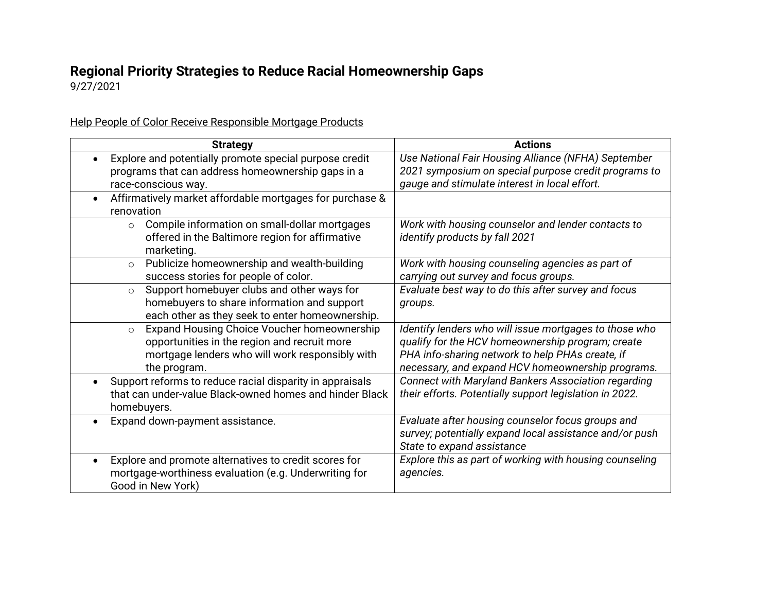## **Regional Priority Strategies to Reduce Racial Homeownership Gaps**

9/27/2021

Help People of Color Receive Responsible Mortgage Products

| <b>Strategy</b>                                                       | <b>Actions</b>                                             |
|-----------------------------------------------------------------------|------------------------------------------------------------|
| Explore and potentially promote special purpose credit                | Use National Fair Housing Alliance (NFHA) September        |
| programs that can address homeownership gaps in a                     | 2021 symposium on special purpose credit programs to       |
| race-conscious way.                                                   | gauge and stimulate interest in local effort.              |
| Affirmatively market affordable mortgages for purchase &              |                                                            |
| renovation                                                            |                                                            |
| Compile information on small-dollar mortgages<br>$\circ$              | Work with housing counselor and lender contacts to         |
| offered in the Baltimore region for affirmative                       | identify products by fall 2021                             |
| marketing.                                                            |                                                            |
| Publicize homeownership and wealth-building<br>$\circ$                | Work with housing counseling agencies as part of           |
| success stories for people of color.                                  | carrying out survey and focus groups.                      |
| Support homebuyer clubs and other ways for<br>$\circ$                 | Evaluate best way to do this after survey and focus        |
| homebuyers to share information and support                           | groups.                                                    |
| each other as they seek to enter homeownership.                       |                                                            |
| Expand Housing Choice Voucher homeownership<br>$\circ$                | Identify lenders who will issue mortgages to those who     |
| opportunities in the region and recruit more                          | qualify for the HCV homeownership program; create          |
| mortgage lenders who will work responsibly with                       | PHA info-sharing network to help PHAs create, if           |
| the program.                                                          | necessary, and expand HCV homeownership programs.          |
| Support reforms to reduce racial disparity in appraisals<br>$\bullet$ | <b>Connect with Maryland Bankers Association regarding</b> |
| that can under-value Black-owned homes and hinder Black               | their efforts. Potentially support legislation in 2022.    |
| homebuyers.                                                           |                                                            |
| Expand down-payment assistance.                                       | Evaluate after housing counselor focus groups and          |
|                                                                       | survey; potentially expand local assistance and/or push    |
|                                                                       | State to expand assistance                                 |
| Explore and promote alternatives to credit scores for<br>$\bullet$    | Explore this as part of working with housing counseling    |
| mortgage-worthiness evaluation (e.g. Underwriting for                 | agencies.                                                  |
| Good in New York)                                                     |                                                            |